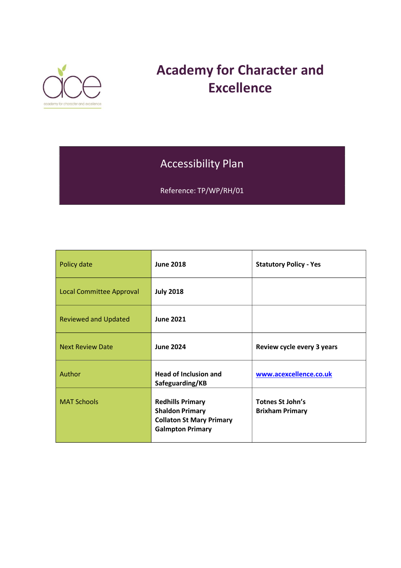

# **Academy for Character and Excellence**

## Accessibility Plan

Reference: TP/WP/RH/01

| Policy date                     | <b>June 2018</b>                                                                                                | <b>Statutory Policy - Yes</b>              |
|---------------------------------|-----------------------------------------------------------------------------------------------------------------|--------------------------------------------|
| <b>Local Committee Approval</b> | <b>July 2018</b>                                                                                                |                                            |
| <b>Reviewed and Updated</b>     | <b>June 2021</b>                                                                                                |                                            |
| <b>Next Review Date</b>         | <b>June 2024</b>                                                                                                | Review cycle every 3 years                 |
| Author                          | <b>Head of Inclusion and</b><br>Safeguarding/KB                                                                 | www.acexcellence.co.uk                     |
| <b>MAT Schools</b>              | <b>Redhills Primary</b><br><b>Shaldon Primary</b><br><b>Collaton St Mary Primary</b><br><b>Galmpton Primary</b> | Totnes St John's<br><b>Brixham Primary</b> |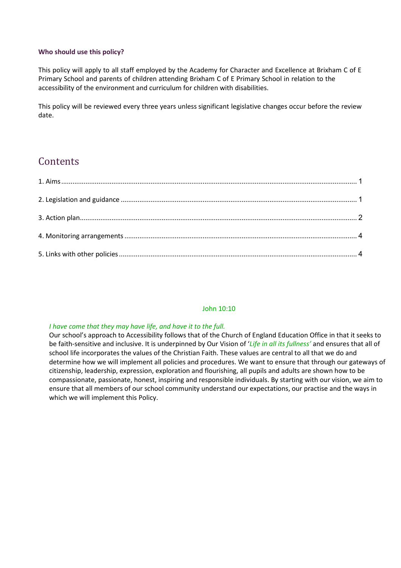#### **Who should use this policy?**

This policy will apply to all staff employed by the Academy for Character and Excellence at Brixham C of E Primary School and parents of children attending Brixham C of E Primary School in relation to the accessibility of the environment and curriculum for children with disabilities.

This policy will be reviewed every three years unless significant legislative changes occur before the review date.

## **Contents**

#### John 10:10

#### *I have come that they may have life, and have it to the full.*

Our school's approach to Accessibility follows that of the Church of England Education Office in that it seeks to be faith-sensitive and inclusive. It is underpinned by Our Vision of '*Life in all its fullness'* and ensures that all of school life incorporates the values of the Christian Faith. These values are central to all that we do and determine how we will implement all policies and procedures. We want to ensure that through our gateways of citizenship, leadership, expression, exploration and flourishing, all pupils and adults are shown how to be compassionate, passionate, honest, inspiring and responsible individuals. By starting with our vision, we aim to ensure that all members of our school community understand our expectations, our practise and the ways in which we will implement this Policy.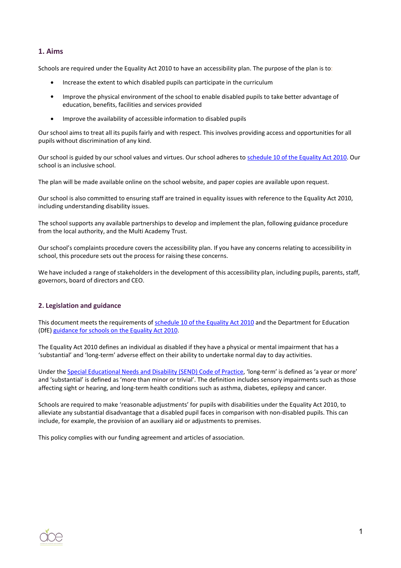#### <span id="page-2-0"></span>**1. Aims**

Schools are required under the Equality Act 2010 to have an accessibility plan. The purpose of the plan is to:

- Increase the extent to which disabled pupils can participate in the curriculum
- Improve the physical environment of the school to enable disabled pupils to take better advantage of education, benefits, facilities and services provided
- Improve the availability of accessible information to disabled pupils

Our school aims to treat all its pupils fairly and with respect. This involves providing access and opportunities for all pupils without discrimination of any kind.

Our school is guided by our school values and virtues. Our school adheres to [schedule](http://www.legislation.gov.uk/ukpga/2010/15/schedule/10) 10 of the Equality Act 2010. Our school is an inclusive school.

The plan will be made available online on the school website, and paper copies are available upon request.

Our school is also committed to ensuring staff are trained in equality issues with reference to the Equality Act 2010, including understanding disability issues.

The school supports any available partnerships to develop and implement the plan, following guidance procedure from the local authority, and the Multi Academy Trust.

Our school's complaints procedure covers the accessibility plan. If you have any concerns relating to accessibility in school, this procedure sets out the process for raising these concerns.

We have included a range of stakeholders in the development of this accessibility plan, including pupils, parents, staff, governors, board of directors and CEO.

#### <span id="page-2-1"></span>**2. Legislation and guidance**

This document meets the requirements of [schedule](http://www.legislation.gov.uk/ukpga/2010/15/schedule/10) 10 of the Equality Act 2010 and the Department for Education (DfE) [guidance](https://www.gov.uk/government/publications/equality-act-2010-advice-for-schools) for schools on the Equality Act 2010.

The Equality Act 2010 defines an individual as disabled if they have a physical or mental impairment that has a 'substantial' and 'long-term' adverse effect on their ability to undertake normal day to day activities.

Under the Special Educational Needs and Disability [\(SEND\) Code](https://www.gov.uk/government/publications/send-code-of-practice-0-to-25) of Practice, 'long-term' is defined as 'a year or more' and 'substantial' is defined as 'more than minor or trivial'. The definition includes sensory impairments such as those affecting sight or hearing, and long-term health conditions such as asthma, diabetes, epilepsy and cancer.

Schools are required to make 'reasonable adjustments' for pupils with disabilities under the Equality Act 2010, to alleviate any substantial disadvantage that a disabled pupil faces in comparison with non-disabled pupils. This can include, for example, the provision of an auxiliary aid or adjustments to premises.

This policy complies with our funding agreement and articles of association.

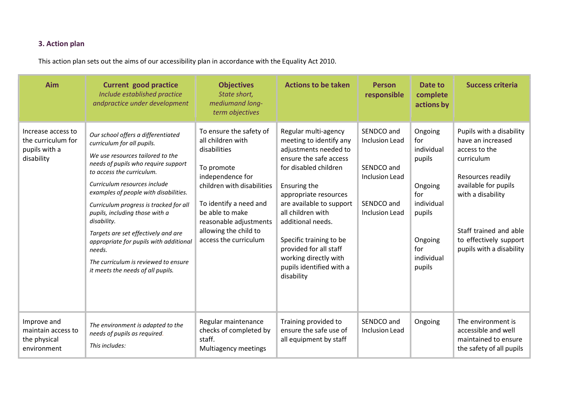### **3. Action plan**

This action plan sets out the aims of our accessibility plan in accordance with the Equality Act 2010.

<span id="page-3-0"></span>

| Aim                                                                     | <b>Current good practice</b><br>Include established practice<br>andpractice under development                                                                                                                                                                                                                                                                                                                                                                                                                        | <b>Objectives</b><br>State short,<br>mediumand long-<br>term objectives                                                                                                                                                                               | <b>Actions to be taken</b>                                                                                                                                                                                                                                                                                                                                         | <b>Person</b><br>responsible                                                                               | Date to<br>complete<br>actions by                                                                                          | <b>Success criteria</b>                                                                                                                                                                                                        |
|-------------------------------------------------------------------------|----------------------------------------------------------------------------------------------------------------------------------------------------------------------------------------------------------------------------------------------------------------------------------------------------------------------------------------------------------------------------------------------------------------------------------------------------------------------------------------------------------------------|-------------------------------------------------------------------------------------------------------------------------------------------------------------------------------------------------------------------------------------------------------|--------------------------------------------------------------------------------------------------------------------------------------------------------------------------------------------------------------------------------------------------------------------------------------------------------------------------------------------------------------------|------------------------------------------------------------------------------------------------------------|----------------------------------------------------------------------------------------------------------------------------|--------------------------------------------------------------------------------------------------------------------------------------------------------------------------------------------------------------------------------|
| Increase access to<br>the curriculum for<br>pupils with a<br>disability | Our school offers a differentiated<br>curriculum for all pupils.<br>We use resources tailored to the<br>needs of pupils who require support<br>to access the curriculum.<br>Curriculum resources include<br>examples of people with disabilities.<br>Curriculum progress is tracked for all<br>pupils, including those with a<br>disability.<br>Targets are set effectively and are<br>appropriate for pupils with additional<br>needs.<br>The curriculum is reviewed to ensure<br>it meets the needs of all pupils. | To ensure the safety of<br>all children with<br>disabilities<br>To promote<br>independence for<br>children with disabilities<br>To identify a need and<br>be able to make<br>reasonable adjustments<br>allowing the child to<br>access the curriculum | Regular multi-agency<br>meeting to identify any<br>adjustments needed to<br>ensure the safe access<br>for disabled children<br>Ensuring the<br>appropriate resources<br>are available to support<br>all children with<br>additional needs.<br>Specific training to be<br>provided for all staff<br>working directly with<br>pupils identified with a<br>disability | SENDCO and<br><b>Inclusion Lead</b><br>SENDCO and<br><b>Inclusion Lead</b><br>SENDCO and<br>Inclusion Lead | Ongoing<br>for<br>individual<br>pupils<br>Ongoing<br>for<br>individual<br>pupils<br>Ongoing<br>for<br>individual<br>pupils | Pupils with a disability<br>have an increased<br>access to the<br>curriculum<br>Resources readily<br>available for pupils<br>with a disability<br>Staff trained and able<br>to effectively support<br>pupils with a disability |
| Improve and<br>maintain access to<br>the physical<br>environment        | The environment is adapted to the<br>needs of pupils as required.<br>This includes:                                                                                                                                                                                                                                                                                                                                                                                                                                  | Regular maintenance<br>checks of completed by<br>staff.<br>Multiagency meetings                                                                                                                                                                       | Training provided to<br>ensure the safe use of<br>all equipment by staff                                                                                                                                                                                                                                                                                           | SENDCO and<br>Inclusion Lead                                                                               | Ongoing                                                                                                                    | The environment is<br>accessible and well<br>maintained to ensure<br>the safety of all pupils                                                                                                                                  |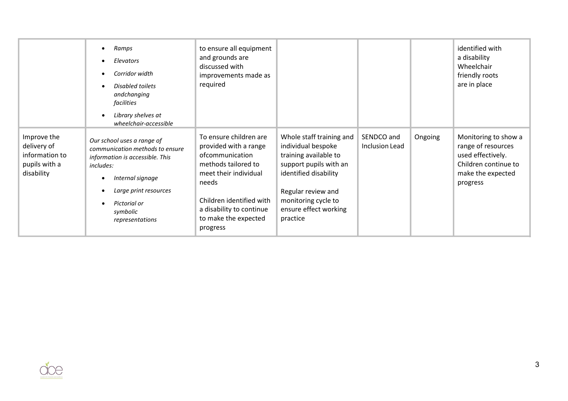|                                                                             | Ramps<br>Elevators<br>Corridor width<br>Disabled toilets<br>andchanging<br>facilities<br>Library shelves at<br>$\bullet$<br>wheelchair-accessible                                                         | to ensure all equipment<br>and grounds are<br>discussed with<br>improvements made as<br>required                                                                                                                        |                                                                                                                                                                                                              |                              |         | identified with<br>a disability<br>Wheelchair<br>friendly roots<br>are in place                                          |
|-----------------------------------------------------------------------------|-----------------------------------------------------------------------------------------------------------------------------------------------------------------------------------------------------------|-------------------------------------------------------------------------------------------------------------------------------------------------------------------------------------------------------------------------|--------------------------------------------------------------------------------------------------------------------------------------------------------------------------------------------------------------|------------------------------|---------|--------------------------------------------------------------------------------------------------------------------------|
| Improve the<br>delivery of<br>information to<br>pupils with a<br>disability | Our school uses a range of<br>communication methods to ensure<br>information is accessible. This<br>includes:<br>Internal signage<br>Large print resources<br>Pictorial or<br>symbolic<br>representations | To ensure children are<br>provided with a range<br>ofcommunication<br>methods tailored to<br>meet their individual<br>needs<br>Children identified with<br>a disability to continue<br>to make the expected<br>progress | Whole staff training and<br>individual bespoke<br>training available to<br>support pupils with an<br>identified disability<br>Regular review and<br>monitoring cycle to<br>ensure effect working<br>practice | SENDCO and<br>Inclusion Lead | Ongoing | Monitoring to show a<br>range of resources<br>used effectively.<br>Children continue to<br>make the expected<br>progress |